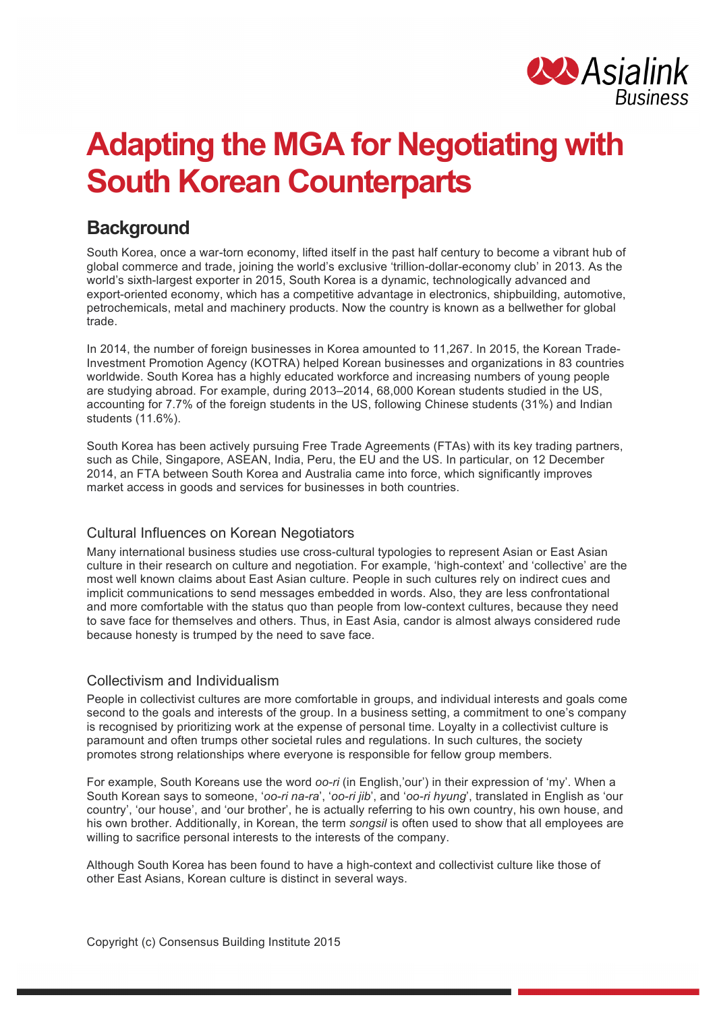

# **Adapting the MGA for Negotiating with South Korean Counterparts**

## **Background**

South Korea, once a war-torn economy, lifted itself in the past half century to become a vibrant hub of global commerce and trade, joining the world's exclusive 'trillion-dollar-economy club' in 2013. As the world's sixth-largest exporter in 2015, South Korea is a dynamic, technologically advanced and export-oriented economy, which has a competitive advantage in electronics, shipbuilding, automotive, petrochemicals, metal and machinery products. Now the country is known as a bellwether for global trade.

In 2014, the number of foreign businesses in Korea amounted to 11,267. In 2015, the Korean Trade-Investment Promotion Agency (KOTRA) helped Korean businesses and organizations in 83 countries worldwide. South Korea has a highly educated workforce and increasing numbers of young people are studying abroad. For example, during 2013–2014, 68,000 Korean students studied in the US, accounting for 7.7% of the foreign students in the US, following Chinese students (31%) and Indian students (11.6%).

South Korea has been actively pursuing Free Trade Agreements (FTAs) with its key trading partners, such as Chile, Singapore, ASEAN, India, Peru, the EU and the US. In particular, on 12 December 2014, an FTA between South Korea and Australia came into force, which significantly improves market access in goods and services for businesses in both countries.

#### Cultural Influences on Korean Negotiators

Many international business studies use cross-cultural typologies to represent Asian or East Asian culture in their research on culture and negotiation. For example, 'high-context' and 'collective' are the most well known claims about East Asian culture. People in such cultures rely on indirect cues and implicit communications to send messages embedded in words. Also, they are less confrontational and more comfortable with the status quo than people from low-context cultures, because they need to save face for themselves and others. Thus, in East Asia, candor is almost always considered rude because honesty is trumped by the need to save face.

#### Collectivism and Individualism

People in collectivist cultures are more comfortable in groups, and individual interests and goals come second to the goals and interests of the group. In a business setting, a commitment to one's company is recognised by prioritizing work at the expense of personal time. Loyalty in a collectivist culture is paramount and often trumps other societal rules and regulations. In such cultures, the society promotes strong relationships where everyone is responsible for fellow group members.

For example, South Koreans use the word *oo-ri* (in English,'our') in their expression of 'my'. When a South Korean says to someone, '*oo-ri na-ra*', '*oo-ri jib*', and '*oo-ri hyung*', translated in English as 'our country', 'our house', and 'our brother', he is actually referring to his own country, his own house, and his own brother. Additionally, in Korean, the term *songsil* is often used to show that all employees are willing to sacrifice personal interests to the interests of the company.

Although South Korea has been found to have a high-context and collectivist culture like those of other East Asians, Korean culture is distinct in several ways.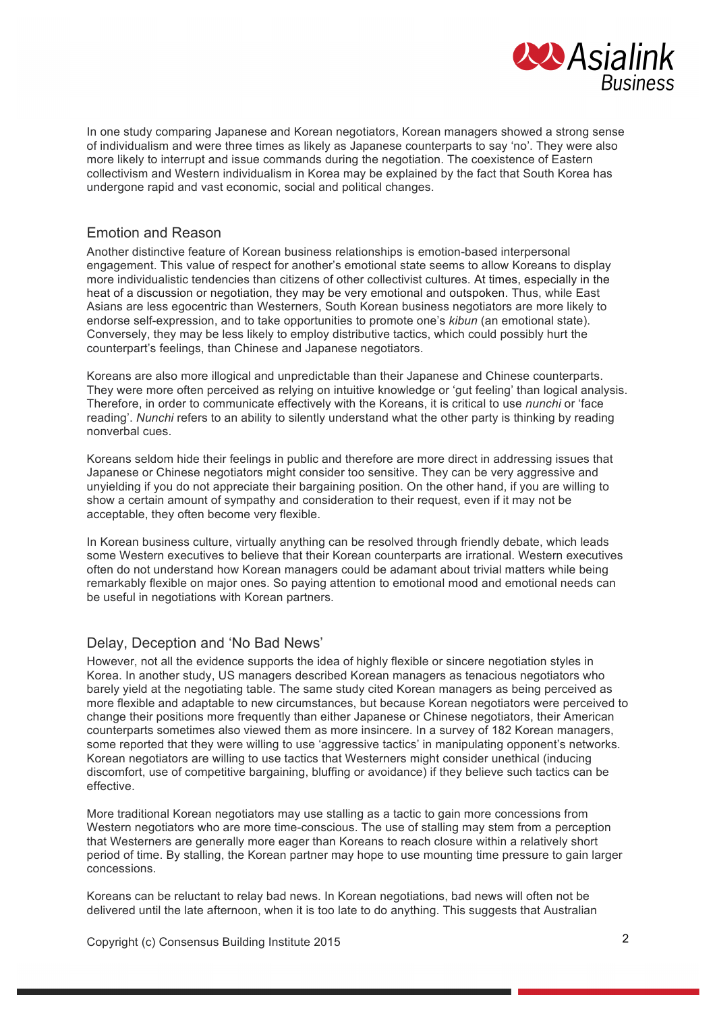

In one study comparing Japanese and Korean negotiators, Korean managers showed a strong sense of individualism and were three times as likely as Japanese counterparts to say 'no'. They were also more likely to interrupt and issue commands during the negotiation. The coexistence of Eastern collectivism and Western individualism in Korea may be explained by the fact that South Korea has undergone rapid and vast economic, social and political changes.

#### Emotion and Reason

Another distinctive feature of Korean business relationships is emotion-based interpersonal engagement. This value of respect for another's emotional state seems to allow Koreans to display more individualistic tendencies than citizens of other collectivist cultures. At times, especially in the heat of a discussion or negotiation, they may be very emotional and outspoken. Thus, while East Asians are less egocentric than Westerners, South Korean business negotiators are more likely to endorse self-expression, and to take opportunities to promote one's *kibun* (an emotional state). Conversely, they may be less likely to employ distributive tactics, which could possibly hurt the counterpart's feelings, than Chinese and Japanese negotiators.

Koreans are also more illogical and unpredictable than their Japanese and Chinese counterparts. They were more often perceived as relying on intuitive knowledge or 'gut feeling' than logical analysis. Therefore, in order to communicate effectively with the Koreans, it is critical to use *nunchi* or 'face reading'. *Nunchi* refers to an ability to silently understand what the other party is thinking by reading nonverbal cues.

Koreans seldom hide their feelings in public and therefore are more direct in addressing issues that Japanese or Chinese negotiators might consider too sensitive. They can be very aggressive and unyielding if you do not appreciate their bargaining position. On the other hand, if you are willing to show a certain amount of sympathy and consideration to their request, even if it may not be acceptable, they often become very flexible.

In Korean business culture, virtually anything can be resolved through friendly debate, which leads some Western executives to believe that their Korean counterparts are irrational. Western executives often do not understand how Korean managers could be adamant about trivial matters while being remarkably flexible on major ones. So paying attention to emotional mood and emotional needs can be useful in negotiations with Korean partners.

#### Delay, Deception and 'No Bad News'

However, not all the evidence supports the idea of highly flexible or sincere negotiation styles in Korea. In another study, US managers described Korean managers as tenacious negotiators who barely yield at the negotiating table. The same study cited Korean managers as being perceived as more flexible and adaptable to new circumstances, but because Korean negotiators were perceived to change their positions more frequently than either Japanese or Chinese negotiators, their American counterparts sometimes also viewed them as more insincere. In a survey of 182 Korean managers, some reported that they were willing to use 'aggressive tactics' in manipulating opponent's networks. Korean negotiators are willing to use tactics that Westerners might consider unethical (inducing discomfort, use of competitive bargaining, bluffing or avoidance) if they believe such tactics can be effective.

More traditional Korean negotiators may use stalling as a tactic to gain more concessions from Western negotiators who are more time-conscious. The use of stalling may stem from a perception that Westerners are generally more eager than Koreans to reach closure within a relatively short period of time. By stalling, the Korean partner may hope to use mounting time pressure to gain larger concessions.

Koreans can be reluctant to relay bad news. In Korean negotiations, bad news will often not be delivered until the late afternoon, when it is too late to do anything. This suggests that Australian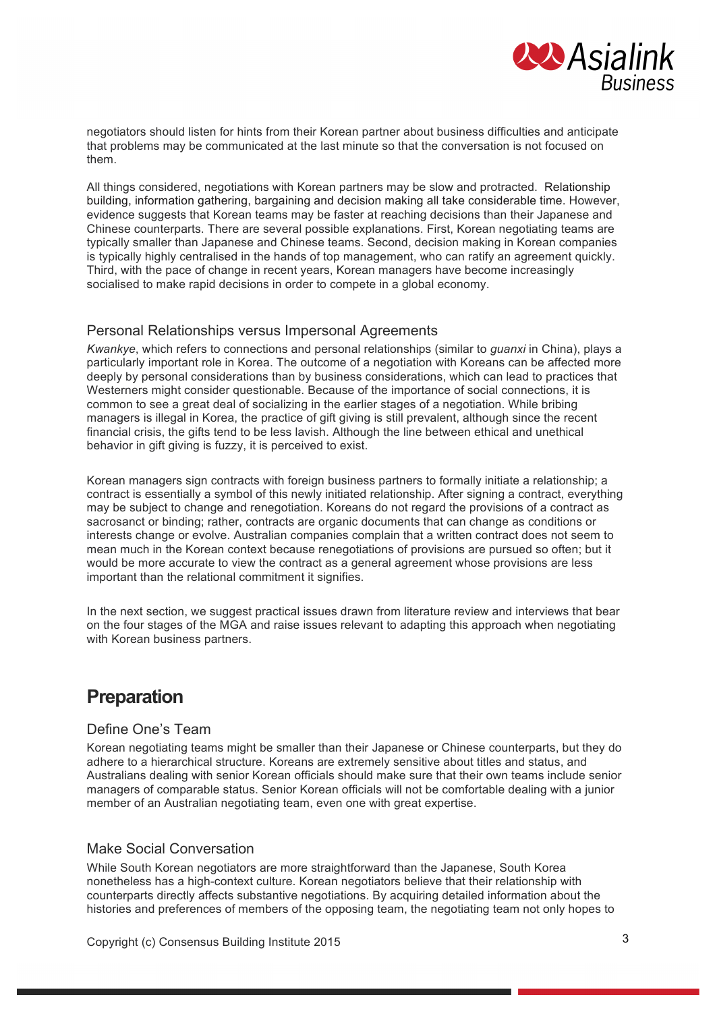

negotiators should listen for hints from their Korean partner about business difficulties and anticipate that problems may be communicated at the last minute so that the conversation is not focused on them.

All things considered, negotiations with Korean partners may be slow and protracted. Relationship building, information gathering, bargaining and decision making all take considerable time. However, evidence suggests that Korean teams may be faster at reaching decisions than their Japanese and Chinese counterparts. There are several possible explanations. First, Korean negotiating teams are typically smaller than Japanese and Chinese teams. Second, decision making in Korean companies is typically highly centralised in the hands of top management, who can ratify an agreement quickly. Third, with the pace of change in recent years, Korean managers have become increasingly socialised to make rapid decisions in order to compete in a global economy.

#### Personal Relationships versus Impersonal Agreements

*Kwankye*, which refers to connections and personal relationships (similar to *guanxi* in China), plays a particularly important role in Korea. The outcome of a negotiation with Koreans can be affected more deeply by personal considerations than by business considerations, which can lead to practices that Westerners might consider questionable. Because of the importance of social connections, it is common to see a great deal of socializing in the earlier stages of a negotiation. While bribing managers is illegal in Korea, the practice of gift giving is still prevalent, although since the recent financial crisis, the gifts tend to be less lavish. Although the line between ethical and unethical behavior in gift giving is fuzzy, it is perceived to exist.

Korean managers sign contracts with foreign business partners to formally initiate a relationship; a contract is essentially a symbol of this newly initiated relationship. After signing a contract, everything may be subject to change and renegotiation. Koreans do not regard the provisions of a contract as sacrosanct or binding; rather, contracts are organic documents that can change as conditions or interests change or evolve. Australian companies complain that a written contract does not seem to mean much in the Korean context because renegotiations of provisions are pursued so often; but it would be more accurate to view the contract as a general agreement whose provisions are less important than the relational commitment it signifies.

In the next section, we suggest practical issues drawn from literature review and interviews that bear on the four stages of the MGA and raise issues relevant to adapting this approach when negotiating with Korean business partners.

## **Preparation**

#### Define One's Team

Korean negotiating teams might be smaller than their Japanese or Chinese counterparts, but they do adhere to a hierarchical structure. Koreans are extremely sensitive about titles and status, and Australians dealing with senior Korean officials should make sure that their own teams include senior managers of comparable status. Senior Korean officials will not be comfortable dealing with a junior member of an Australian negotiating team, even one with great expertise.

#### Make Social Conversation

While South Korean negotiators are more straightforward than the Japanese, South Korea nonetheless has a high-context culture. Korean negotiators believe that their relationship with counterparts directly affects substantive negotiations. By acquiring detailed information about the histories and preferences of members of the opposing team, the negotiating team not only hopes to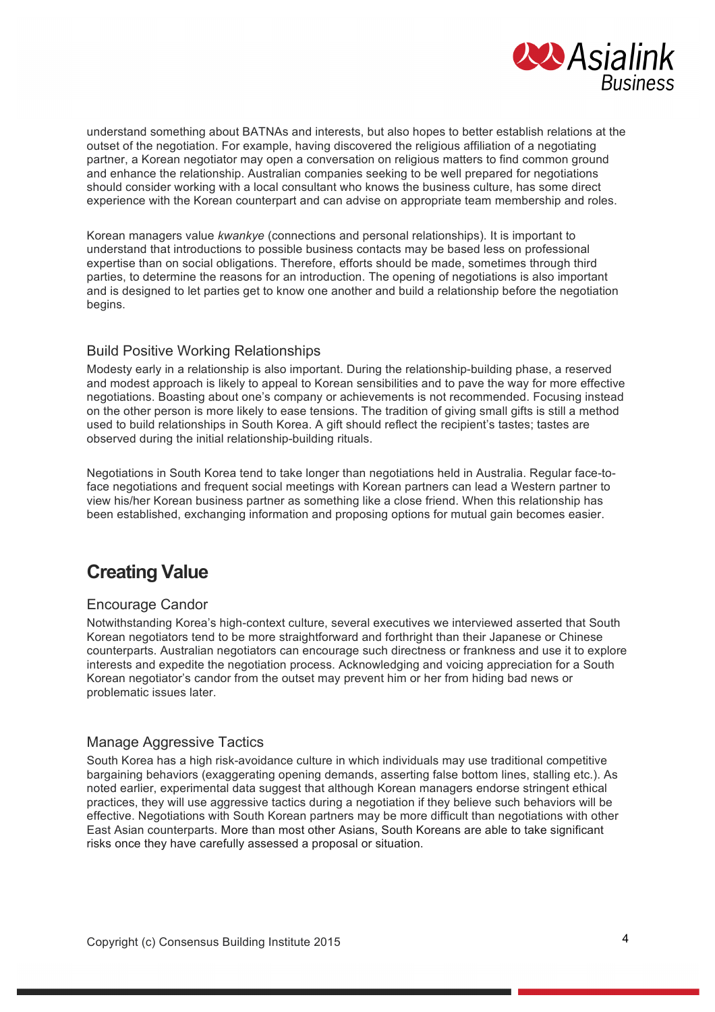

understand something about BATNAs and interests, but also hopes to better establish relations at the outset of the negotiation. For example, having discovered the religious affiliation of a negotiating partner, a Korean negotiator may open a conversation on religious matters to find common ground and enhance the relationship. Australian companies seeking to be well prepared for negotiations should consider working with a local consultant who knows the business culture, has some direct experience with the Korean counterpart and can advise on appropriate team membership and roles.

Korean managers value *kwankye* (connections and personal relationships). It is important to understand that introductions to possible business contacts may be based less on professional expertise than on social obligations. Therefore, efforts should be made, sometimes through third parties, to determine the reasons for an introduction. The opening of negotiations is also important and is designed to let parties get to know one another and build a relationship before the negotiation begins.

#### Build Positive Working Relationships

Modesty early in a relationship is also important. During the relationship-building phase, a reserved and modest approach is likely to appeal to Korean sensibilities and to pave the way for more effective negotiations. Boasting about one's company or achievements is not recommended. Focusing instead on the other person is more likely to ease tensions. The tradition of giving small gifts is still a method used to build relationships in South Korea. A gift should reflect the recipient's tastes; tastes are observed during the initial relationship-building rituals.

Negotiations in South Korea tend to take longer than negotiations held in Australia. Regular face-toface negotiations and frequent social meetings with Korean partners can lead a Western partner to view his/her Korean business partner as something like a close friend. When this relationship has been established, exchanging information and proposing options for mutual gain becomes easier.

## **Creating Value**

#### Encourage Candor

Notwithstanding Korea's high-context culture, several executives we interviewed asserted that South Korean negotiators tend to be more straightforward and forthright than their Japanese or Chinese counterparts. Australian negotiators can encourage such directness or frankness and use it to explore interests and expedite the negotiation process. Acknowledging and voicing appreciation for a South Korean negotiator's candor from the outset may prevent him or her from hiding bad news or problematic issues later.

#### Manage Aggressive Tactics

South Korea has a high risk-avoidance culture in which individuals may use traditional competitive bargaining behaviors (exaggerating opening demands, asserting false bottom lines, stalling etc.). As noted earlier, experimental data suggest that although Korean managers endorse stringent ethical practices, they will use aggressive tactics during a negotiation if they believe such behaviors will be effective. Negotiations with South Korean partners may be more difficult than negotiations with other East Asian counterparts. More than most other Asians, South Koreans are able to take significant risks once they have carefully assessed a proposal or situation.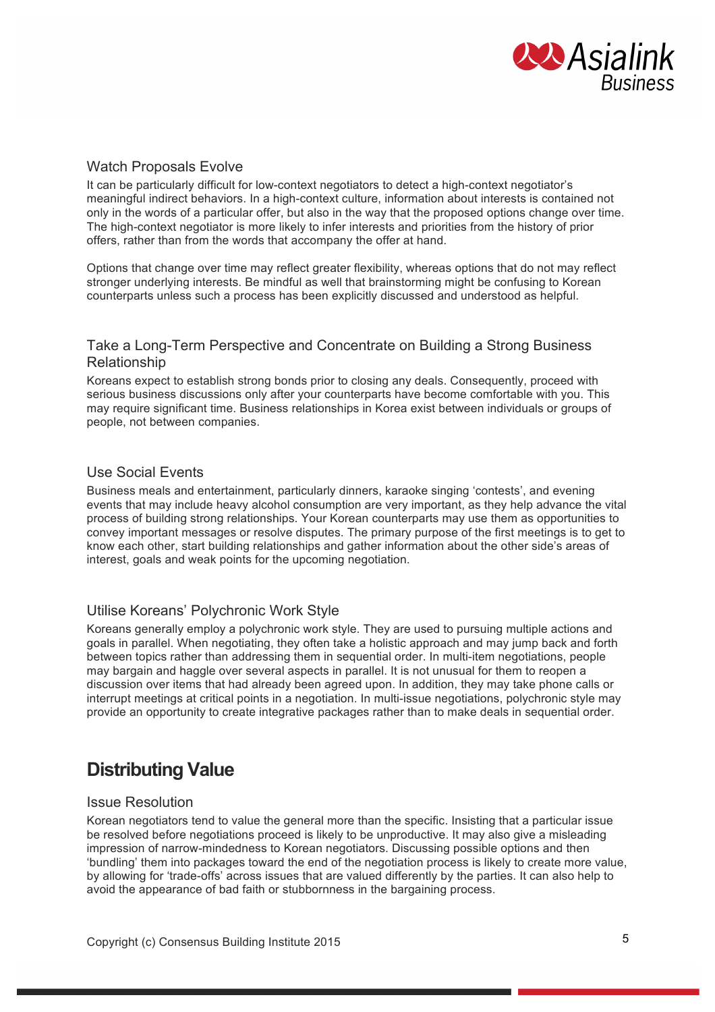

#### Watch Proposals Evolve

It can be particularly difficult for low-context negotiators to detect a high-context negotiator's meaningful indirect behaviors. In a high-context culture, information about interests is contained not only in the words of a particular offer, but also in the way that the proposed options change over time. The high-context negotiator is more likely to infer interests and priorities from the history of prior offers, rather than from the words that accompany the offer at hand.

Options that change over time may reflect greater flexibility, whereas options that do not may reflect stronger underlying interests. Be mindful as well that brainstorming might be confusing to Korean counterparts unless such a process has been explicitly discussed and understood as helpful.

#### Take a Long-Term Perspective and Concentrate on Building a Strong Business Relationship

Koreans expect to establish strong bonds prior to closing any deals. Consequently, proceed with serious business discussions only after your counterparts have become comfortable with you. This may require significant time. Business relationships in Korea exist between individuals or groups of people, not between companies.

#### Use Social Events

Business meals and entertainment, particularly dinners, karaoke singing 'contests', and evening events that may include heavy alcohol consumption are very important, as they help advance the vital process of building strong relationships. Your Korean counterparts may use them as opportunities to convey important messages or resolve disputes. The primary purpose of the first meetings is to get to know each other, start building relationships and gather information about the other side's areas of interest, goals and weak points for the upcoming negotiation.

#### Utilise Koreans' Polychronic Work Style

Koreans generally employ a polychronic work style. They are used to pursuing multiple actions and goals in parallel. When negotiating, they often take a holistic approach and may jump back and forth between topics rather than addressing them in sequential order. In multi-item negotiations, people may bargain and haggle over several aspects in parallel. It is not unusual for them to reopen a discussion over items that had already been agreed upon. In addition, they may take phone calls or interrupt meetings at critical points in a negotiation. In multi-issue negotiations, polychronic style may provide an opportunity to create integrative packages rather than to make deals in sequential order.

## **Distributing Value**

#### Issue Resolution

Korean negotiators tend to value the general more than the specific. Insisting that a particular issue be resolved before negotiations proceed is likely to be unproductive. It may also give a misleading impression of narrow-mindedness to Korean negotiators. Discussing possible options and then 'bundling' them into packages toward the end of the negotiation process is likely to create more value, by allowing for 'trade-offs' across issues that are valued differently by the parties. It can also help to avoid the appearance of bad faith or stubbornness in the bargaining process.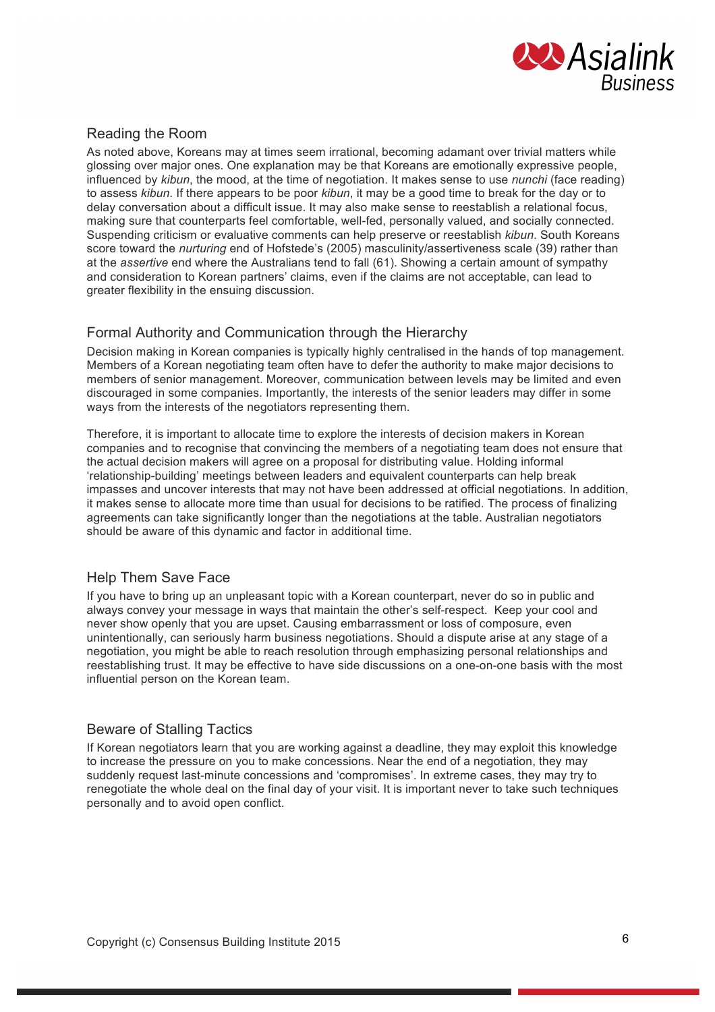

#### Reading the Room

As noted above, Koreans may at times seem irrational, becoming adamant over trivial matters while glossing over major ones. One explanation may be that Koreans are emotionally expressive people, influenced by *kibun*, the mood, at the time of negotiation. It makes sense to use *nunchi* (face reading) to assess *kibun*. If there appears to be poor *kibun*, it may be a good time to break for the day or to delay conversation about a difficult issue. It may also make sense to reestablish a relational focus, making sure that counterparts feel comfortable, well-fed, personally valued, and socially connected. Suspending criticism or evaluative comments can help preserve or reestablish *kibun*. South Koreans score toward the *nurturing* end of Hofstede's (2005) masculinity/assertiveness scale (39) rather than at the *assertive* end where the Australians tend to fall (61). Showing a certain amount of sympathy and consideration to Korean partners' claims, even if the claims are not acceptable, can lead to greater flexibility in the ensuing discussion.

#### Formal Authority and Communication through the Hierarchy

Decision making in Korean companies is typically highly centralised in the hands of top management. Members of a Korean negotiating team often have to defer the authority to make major decisions to members of senior management. Moreover, communication between levels may be limited and even discouraged in some companies. Importantly, the interests of the senior leaders may differ in some ways from the interests of the negotiators representing them.

Therefore, it is important to allocate time to explore the interests of decision makers in Korean companies and to recognise that convincing the members of a negotiating team does not ensure that the actual decision makers will agree on a proposal for distributing value. Holding informal 'relationship-building' meetings between leaders and equivalent counterparts can help break impasses and uncover interests that may not have been addressed at official negotiations. In addition, it makes sense to allocate more time than usual for decisions to be ratified. The process of finalizing agreements can take significantly longer than the negotiations at the table. Australian negotiators should be aware of this dynamic and factor in additional time.

#### Help Them Save Face

If you have to bring up an unpleasant topic with a Korean counterpart, never do so in public and always convey your message in ways that maintain the other's self-respect. Keep your cool and never show openly that you are upset. Causing embarrassment or loss of composure, even unintentionally, can seriously harm business negotiations. Should a dispute arise at any stage of a negotiation, you might be able to reach resolution through emphasizing personal relationships and reestablishing trust. It may be effective to have side discussions on a one-on-one basis with the most influential person on the Korean team.

#### Beware of Stalling Tactics

If Korean negotiators learn that you are working against a deadline, they may exploit this knowledge to increase the pressure on you to make concessions. Near the end of a negotiation, they may suddenly request last-minute concessions and 'compromises'. In extreme cases, they may try to renegotiate the whole deal on the final day of your visit. It is important never to take such techniques personally and to avoid open conflict.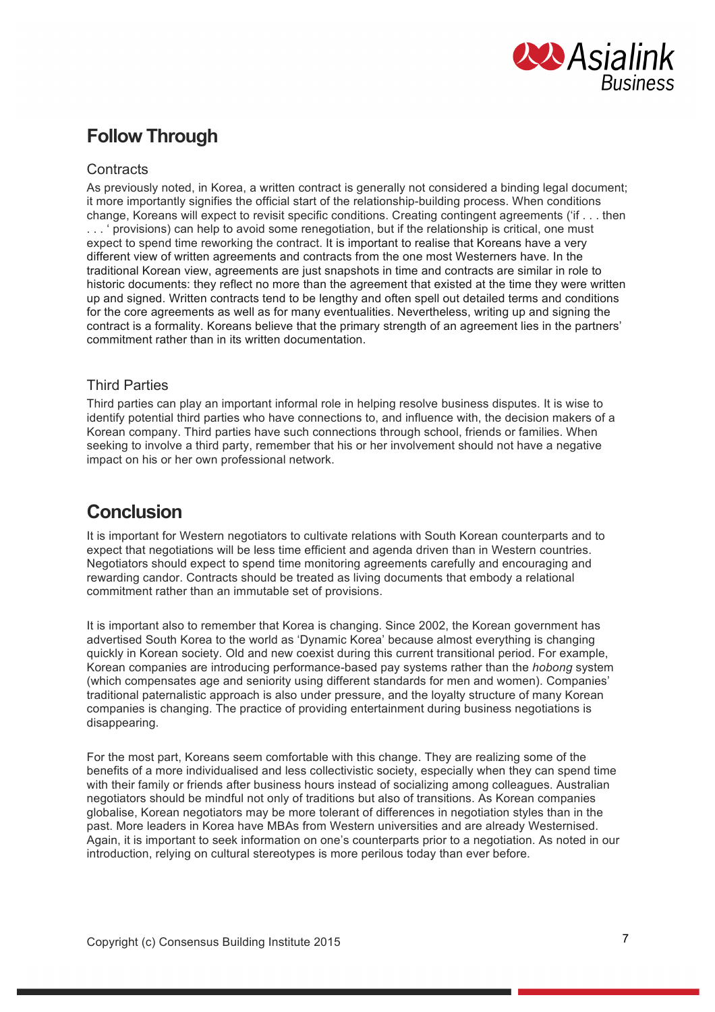

## **Follow Through**

#### **Contracts**

As previously noted, in Korea, a written contract is generally not considered a binding legal document; it more importantly signifies the official start of the relationship-building process. When conditions change, Koreans will expect to revisit specific conditions. Creating contingent agreements ('if . . . then

. . . ' provisions) can help to avoid some renegotiation, but if the relationship is critical, one must expect to spend time reworking the contract. It is important to realise that Koreans have a very different view of written agreements and contracts from the one most Westerners have. In the traditional Korean view, agreements are just snapshots in time and contracts are similar in role to historic documents: they reflect no more than the agreement that existed at the time they were written up and signed. Written contracts tend to be lengthy and often spell out detailed terms and conditions for the core agreements as well as for many eventualities. Nevertheless, writing up and signing the contract is a formality. Koreans believe that the primary strength of an agreement lies in the partners' commitment rather than in its written documentation.

#### Third Parties

Third parties can play an important informal role in helping resolve business disputes. It is wise to identify potential third parties who have connections to, and influence with, the decision makers of a Korean company. Third parties have such connections through school, friends or families. When seeking to involve a third party, remember that his or her involvement should not have a negative impact on his or her own professional network.

## **Conclusion**

It is important for Western negotiators to cultivate relations with South Korean counterparts and to expect that negotiations will be less time efficient and agenda driven than in Western countries. Negotiators should expect to spend time monitoring agreements carefully and encouraging and rewarding candor. Contracts should be treated as living documents that embody a relational commitment rather than an immutable set of provisions.

It is important also to remember that Korea is changing. Since 2002, the Korean government has advertised South Korea to the world as 'Dynamic Korea' because almost everything is changing quickly in Korean society. Old and new coexist during this current transitional period. For example, Korean companies are introducing performance-based pay systems rather than the *hobong* system (which compensates age and seniority using different standards for men and women). Companies' traditional paternalistic approach is also under pressure, and the loyalty structure of many Korean companies is changing. The practice of providing entertainment during business negotiations is disappearing.

For the most part, Koreans seem comfortable with this change. They are realizing some of the benefits of a more individualised and less collectivistic society, especially when they can spend time with their family or friends after business hours instead of socializing among colleagues. Australian negotiators should be mindful not only of traditions but also of transitions. As Korean companies globalise, Korean negotiators may be more tolerant of differences in negotiation styles than in the past. More leaders in Korea have MBAs from Western universities and are already Westernised. Again, it is important to seek information on one's counterparts prior to a negotiation. As noted in our introduction, relying on cultural stereotypes is more perilous today than ever before.